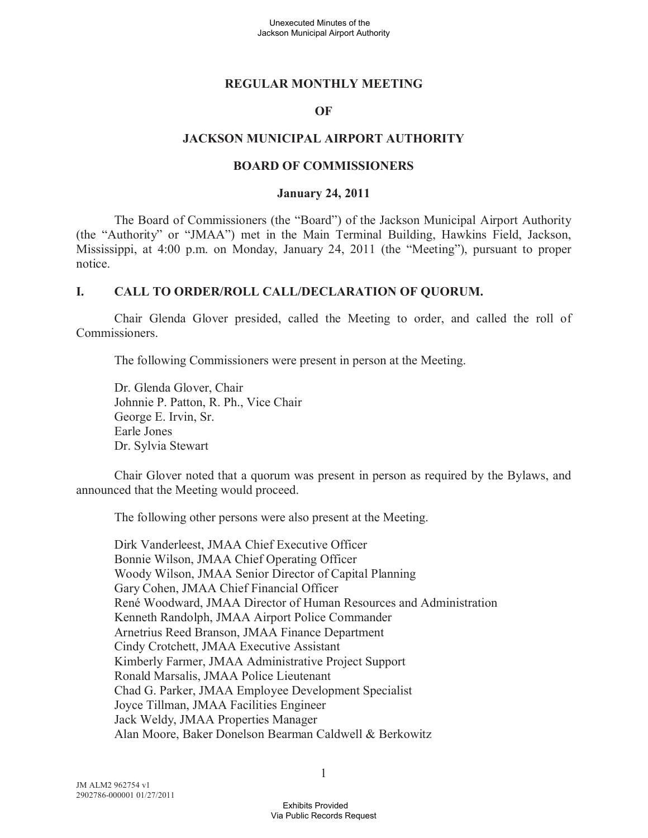### **REGULAR MONTHLY MEETING**

### **OF**

### **JACKSON MUNICIPAL AIRPORT AUTHORITY**

#### **BOARD OF COMMISSIONERS**

#### **January 24, 2011**

The Board of Commissioners (the "Board") of the Jackson Municipal Airport Authority (the "Authority" or "JMAA") met in the Main Terminal Building, Hawkins Field, Jackson, Mississippi, at 4:00 p.m. on Monday, January 24, 2011 (the "Meeting"), pursuant to proper notice.

### **I. CALL TO ORDER/ROLL CALL/DECLARATION OF QUORUM.**

Chair Glenda Glover presided, called the Meeting to order, and called the roll of Commissioners.

The following Commissioners were present in person at the Meeting.

Dr. Glenda Glover, Chair Johnnie P. Patton, R. Ph., Vice Chair George E. Irvin, Sr. Earle Jones Dr. Sylvia Stewart

Chair Glover noted that a quorum was present in person as required by the Bylaws, and announced that the Meeting would proceed.

The following other persons were also present at the Meeting.

Dirk Vanderleest, JMAA Chief Executive Officer Bonnie Wilson, JMAA Chief Operating Officer Woody Wilson, JMAA Senior Director of Capital Planning Gary Cohen, JMAA Chief Financial Officer René Woodward, JMAA Director of Human Resources and Administration Kenneth Randolph, JMAA Airport Police Commander Arnetrius Reed Branson, JMAA Finance Department Cindy Crotchett, JMAA Executive Assistant Kimberly Farmer, JMAA Administrative Project Support Ronald Marsalis, JMAA Police Lieutenant Chad G. Parker, JMAA Employee Development Specialist Joyce Tillman, JMAA Facilities Engineer Jack Weldy, JMAA Properties Manager Alan Moore, Baker Donelson Bearman Caldwell & Berkowitz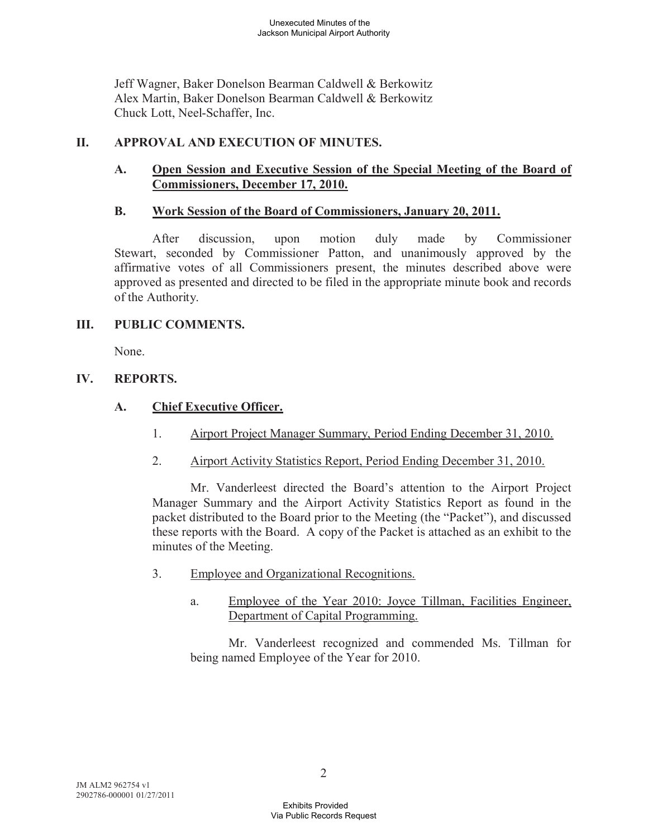Jeff Wagner, Baker Donelson Bearman Caldwell & Berkowitz Alex Martin, Baker Donelson Bearman Caldwell & Berkowitz Chuck Lott, Neel-Schaffer, Inc.

# **II. APPROVAL AND EXECUTION OF MINUTES.**

## **A. Open Session and Executive Session of the Special Meeting of the Board of Commissioners, December 17, 2010.**

## **B. Work Session of the Board of Commissioners, January 20, 2011.**

After discussion, upon motion duly made by Commissioner Stewart, seconded by Commissioner Patton, and unanimously approved by the affirmative votes of all Commissioners present, the minutes described above were approved as presented and directed to be filed in the appropriate minute book and records of the Authority.

## **III. PUBLIC COMMENTS.**

None.

## **IV. REPORTS.**

# **A. Chief Executive Officer.**

- 1. Airport Project Manager Summary, Period Ending December 31, 2010.
- 2. Airport Activity Statistics Report, Period Ending December 31, 2010.

Mr. Vanderleest directed the Board's attention to the Airport Project Manager Summary and the Airport Activity Statistics Report as found in the packet distributed to the Board prior to the Meeting (the "Packet"), and discussed these reports with the Board. A copy of the Packet is attached as an exhibit to the minutes of the Meeting.

- 3. Employee and Organizational Recognitions.
	- a. Employee of the Year 2010: Joyce Tillman, Facilities Engineer, Department of Capital Programming.

Mr. Vanderleest recognized and commended Ms. Tillman for being named Employee of the Year for 2010.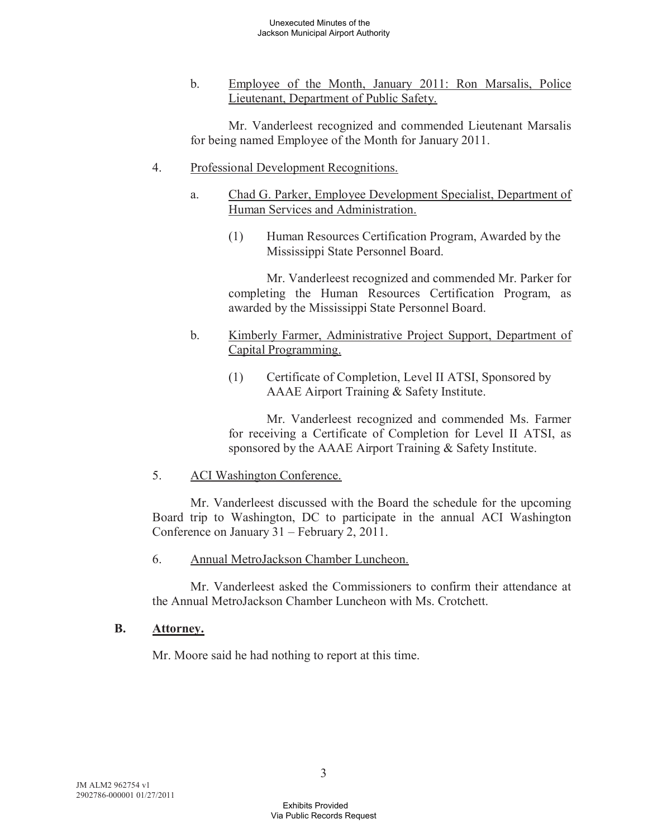b. Employee of the Month, January 2011: Ron Marsalis, Police Lieutenant, Department of Public Safety.

Mr. Vanderleest recognized and commended Lieutenant Marsalis for being named Employee of the Month for January 2011.

- 4. Professional Development Recognitions.
	- a. Chad G. Parker, Employee Development Specialist, Department of Human Services and Administration.
		- (1) Human Resources Certification Program, Awarded by the Mississippi State Personnel Board.

Mr. Vanderleest recognized and commended Mr. Parker for completing the Human Resources Certification Program, as awarded by the Mississippi State Personnel Board.

- b. Kimberly Farmer, Administrative Project Support, Department of Capital Programming.
	- (1) Certificate of Completion, Level II ATSI, Sponsored by AAAE Airport Training & Safety Institute.

Mr. Vanderleest recognized and commended Ms. Farmer for receiving a Certificate of Completion for Level II ATSI, as sponsored by the AAAE Airport Training & Safety Institute.

### 5. ACI Washington Conference.

Mr. Vanderleest discussed with the Board the schedule for the upcoming Board trip to Washington, DC to participate in the annual ACI Washington Conference on January 31 – February 2, 2011.

6. Annual MetroJackson Chamber Luncheon.

Mr. Vanderleest asked the Commissioners to confirm their attendance at the Annual MetroJackson Chamber Luncheon with Ms. Crotchett.

## **B. Attorney.**

Mr. Moore said he had nothing to report at this time.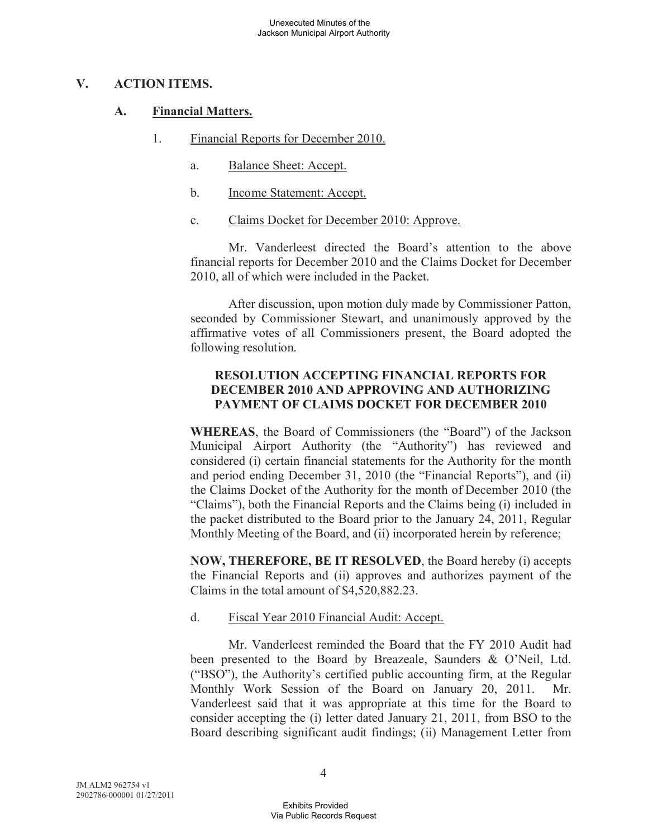### **V. ACTION ITEMS.**

### **A. Financial Matters.**

- 1. Financial Reports for December 2010.
	- a. Balance Sheet: Accept.
	- b. Income Statement: Accept.
	- c. Claims Docket for December 2010: Approve.

Mr. Vanderleest directed the Board's attention to the above financial reports for December 2010 and the Claims Docket for December 2010, all of which were included in the Packet.

After discussion, upon motion duly made by Commissioner Patton, seconded by Commissioner Stewart, and unanimously approved by the affirmative votes of all Commissioners present, the Board adopted the following resolution.

## **RESOLUTION ACCEPTING FINANCIAL REPORTS FOR DECEMBER 2010 AND APPROVING AND AUTHORIZING PAYMENT OF CLAIMS DOCKET FOR DECEMBER 2010**

**WHEREAS**, the Board of Commissioners (the "Board") of the Jackson Municipal Airport Authority (the "Authority") has reviewed and considered (i) certain financial statements for the Authority for the month and period ending December 31, 2010 (the "Financial Reports"), and (ii) the Claims Docket of the Authority for the month of December 2010 (the "Claims"), both the Financial Reports and the Claims being (i) included in the packet distributed to the Board prior to the January 24, 2011, Regular Monthly Meeting of the Board, and (ii) incorporated herein by reference;

**NOW, THEREFORE, BE IT RESOLVED**, the Board hereby (i) accepts the Financial Reports and (ii) approves and authorizes payment of the Claims in the total amount of \$4,520,882.23.

## d. Fiscal Year 2010 Financial Audit: Accept.

Mr. Vanderleest reminded the Board that the FY 2010 Audit had been presented to the Board by Breazeale, Saunders & O'Neil, Ltd. ("BSO"), the Authority's certified public accounting firm, at the Regular Monthly Work Session of the Board on January 20, 2011. Mr. Vanderleest said that it was appropriate at this time for the Board to consider accepting the (i) letter dated January 21, 2011, from BSO to the Board describing significant audit findings; (ii) Management Letter from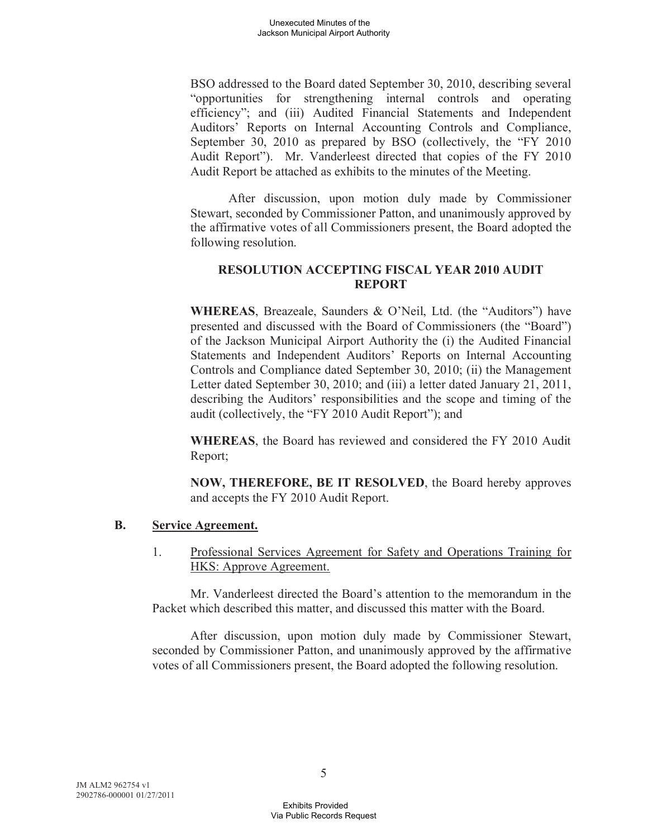BSO addressed to the Board dated September 30, 2010, describing several "opportunities for strengthening internal controls and operating efficiency"; and (iii) Audited Financial Statements and Independent Auditors' Reports on Internal Accounting Controls and Compliance, September 30, 2010 as prepared by BSO (collectively, the "FY 2010 Audit Report"). Mr. Vanderleest directed that copies of the FY 2010 Audit Report be attached as exhibits to the minutes of the Meeting.

After discussion, upon motion duly made by Commissioner Stewart, seconded by Commissioner Patton, and unanimously approved by the affirmative votes of all Commissioners present, the Board adopted the following resolution.

### **RESOLUTION ACCEPTING FISCAL YEAR 2010 AUDIT REPORT**

**WHEREAS**, Breazeale, Saunders & O'Neil, Ltd. (the "Auditors") have presented and discussed with the Board of Commissioners (the "Board") of the Jackson Municipal Airport Authority the (i) the Audited Financial Statements and Independent Auditors' Reports on Internal Accounting Controls and Compliance dated September 30, 2010; (ii) the Management Letter dated September 30, 2010; and (iii) a letter dated January 21, 2011, describing the Auditors' responsibilities and the scope and timing of the audit (collectively, the "FY 2010 Audit Report"); and

**WHEREAS**, the Board has reviewed and considered the FY 2010 Audit Report;

**NOW, THEREFORE, BE IT RESOLVED**, the Board hereby approves and accepts the FY 2010 Audit Report.

### **B. Service Agreement.**

1. Professional Services Agreement for Safety and Operations Training for HKS: Approve Agreement.

Mr. Vanderleest directed the Board's attention to the memorandum in the Packet which described this matter, and discussed this matter with the Board.

After discussion, upon motion duly made by Commissioner Stewart, seconded by Commissioner Patton, and unanimously approved by the affirmative votes of all Commissioners present, the Board adopted the following resolution.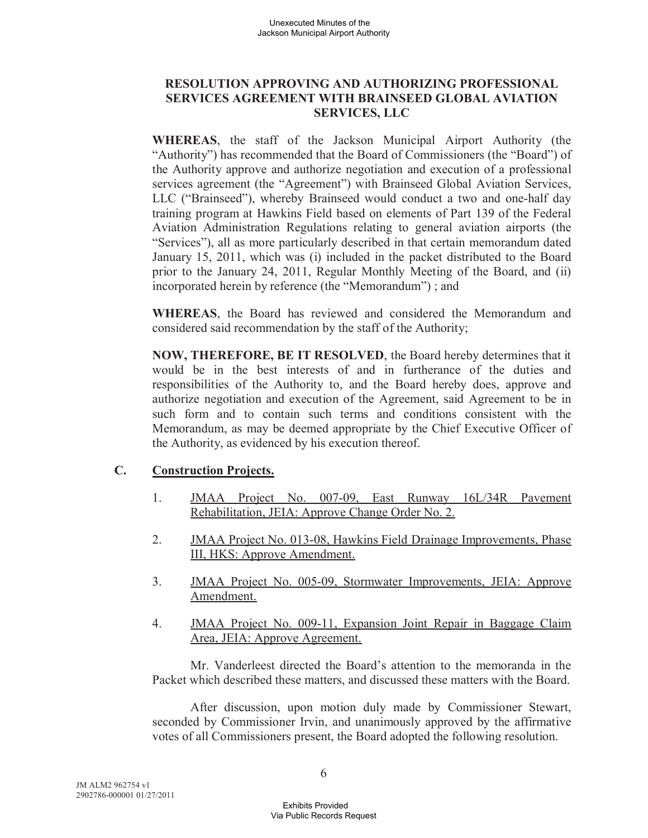## **RESOLUTION APPROVING AND AUTHORIZING PROFESSIONAL SERVICES AGREEMENT WITH BRAINSEED GLOBAL AVIATION SERVICES, LLC**

**WHEREAS**, the staff of the Jackson Municipal Airport Authority (the "Authority") has recommended that the Board of Commissioners (the "Board") of the Authority approve and authorize negotiation and execution of a professional services agreement (the "Agreement") with Brainseed Global Aviation Services, LLC ("Brainseed"), whereby Brainseed would conduct a two and one-half day training program at Hawkins Field based on elements of Part 139 of the Federal Aviation Administration Regulations relating to general aviation airports (the "Services"), all as more particularly described in that certain memorandum dated January 15, 2011, which was (i) included in the packet distributed to the Board prior to the January 24, 2011, Regular Monthly Meeting of the Board, and (ii) incorporated herein by reference (the "Memorandum") ; and

**WHEREAS**, the Board has reviewed and considered the Memorandum and considered said recommendation by the staff of the Authority;

**NOW, THEREFORE, BE IT RESOLVED**, the Board hereby determines that it would be in the best interests of and in furtherance of the duties and responsibilities of the Authority to, and the Board hereby does, approve and authorize negotiation and execution of the Agreement, said Agreement to be in such form and to contain such terms and conditions consistent with the Memorandum, as may be deemed appropriate by the Chief Executive Officer of the Authority, as evidenced by his execution thereof.

## **C. Construction Projects.**

- 1. JMAA Project No. 007-09, East Runway 16L/34R Pavement Rehabilitation, JEIA: Approve Change Order No. 2.
- 2. JMAA Project No. 013-08, Hawkins Field Drainage Improvements, Phase III, HKS: Approve Amendment.
- 3. JMAA Project No. 005-09, Stormwater Improvements, JEIA: Approve Amendment.
- 4. JMAA Project No. 009-11, Expansion Joint Repair in Baggage Claim Area, JEIA: Approve Agreement.

Mr. Vanderleest directed the Board's attention to the memoranda in the Packet which described these matters, and discussed these matters with the Board.

After discussion, upon motion duly made by Commissioner Stewart, seconded by Commissioner Irvin, and unanimously approved by the affirmative votes of all Commissioners present, the Board adopted the following resolution.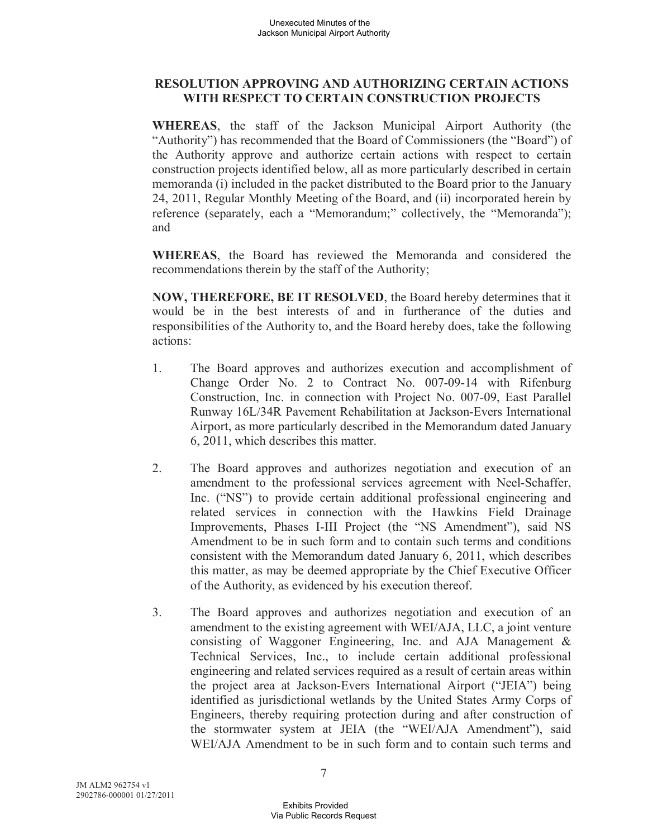## **RESOLUTION APPROVING AND AUTHORIZING CERTAIN ACTIONS WITH RESPECT TO CERTAIN CONSTRUCTION PROJECTS**

**WHEREAS**, the staff of the Jackson Municipal Airport Authority (the "Authority") has recommended that the Board of Commissioners (the "Board") of the Authority approve and authorize certain actions with respect to certain construction projects identified below, all as more particularly described in certain memoranda (i) included in the packet distributed to the Board prior to the January 24, 2011, Regular Monthly Meeting of the Board, and (ii) incorporated herein by reference (separately, each a "Memorandum;" collectively, the "Memoranda"); and

**WHEREAS**, the Board has reviewed the Memoranda and considered the recommendations therein by the staff of the Authority;

**NOW, THEREFORE, BE IT RESOLVED**, the Board hereby determines that it would be in the best interests of and in furtherance of the duties and responsibilities of the Authority to, and the Board hereby does, take the following actions:

- 1. The Board approves and authorizes execution and accomplishment of Change Order No. 2 to Contract No. 007-09-14 with Rifenburg Construction, Inc. in connection with Project No. 007-09, East Parallel Runway 16L/34R Pavement Rehabilitation at Jackson-Evers International Airport, as more particularly described in the Memorandum dated January 6, 2011, which describes this matter.
- 2. The Board approves and authorizes negotiation and execution of an amendment to the professional services agreement with Neel-Schaffer, Inc. ("NS") to provide certain additional professional engineering and related services in connection with the Hawkins Field Drainage Improvements, Phases I-III Project (the "NS Amendment"), said NS Amendment to be in such form and to contain such terms and conditions consistent with the Memorandum dated January 6, 2011, which describes this matter, as may be deemed appropriate by the Chief Executive Officer of the Authority, as evidenced by his execution thereof.
- 3. The Board approves and authorizes negotiation and execution of an amendment to the existing agreement with WEI/AJA, LLC, a joint venture consisting of Waggoner Engineering, Inc. and AJA Management & Technical Services, Inc., to include certain additional professional engineering and related services required as a result of certain areas within the project area at Jackson-Evers International Airport ("JEIA") being identified as jurisdictional wetlands by the United States Army Corps of Engineers, thereby requiring protection during and after construction of the stormwater system at JEIA (the "WEI/AJA Amendment"), said WEI/AJA Amendment to be in such form and to contain such terms and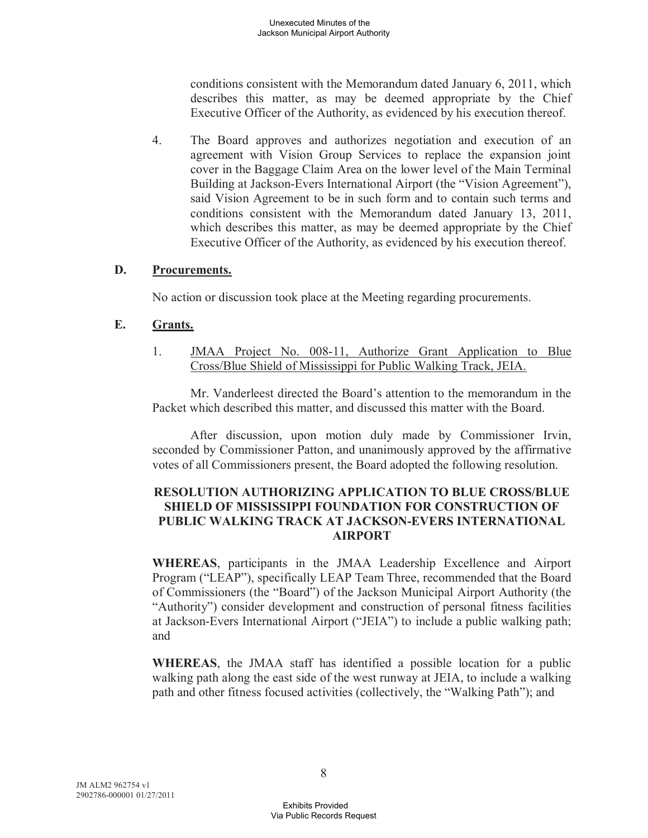conditions consistent with the Memorandum dated January 6, 2011, which describes this matter, as may be deemed appropriate by the Chief Executive Officer of the Authority, as evidenced by his execution thereof.

4. The Board approves and authorizes negotiation and execution of an agreement with Vision Group Services to replace the expansion joint cover in the Baggage Claim Area on the lower level of the Main Terminal Building at Jackson-Evers International Airport (the "Vision Agreement"), said Vision Agreement to be in such form and to contain such terms and conditions consistent with the Memorandum dated January 13, 2011, which describes this matter, as may be deemed appropriate by the Chief Executive Officer of the Authority, as evidenced by his execution thereof.

### **D. Procurements.**

No action or discussion took place at the Meeting regarding procurements.

### **E. Grants.**

1. JMAA Project No. 008-11, Authorize Grant Application to Blue Cross/Blue Shield of Mississippi for Public Walking Track, JEIA.

Mr. Vanderleest directed the Board's attention to the memorandum in the Packet which described this matter, and discussed this matter with the Board.

After discussion, upon motion duly made by Commissioner Irvin, seconded by Commissioner Patton, and unanimously approved by the affirmative votes of all Commissioners present, the Board adopted the following resolution.

### **RESOLUTION AUTHORIZING APPLICATION TO BLUE CROSS/BLUE SHIELD OF MISSISSIPPI FOUNDATION FOR CONSTRUCTION OF PUBLIC WALKING TRACK AT JACKSON-EVERS INTERNATIONAL AIRPORT**

**WHEREAS**, participants in the JMAA Leadership Excellence and Airport Program ("LEAP"), specifically LEAP Team Three, recommended that the Board of Commissioners (the "Board") of the Jackson Municipal Airport Authority (the "Authority") consider development and construction of personal fitness facilities at Jackson-Evers International Airport ("JEIA") to include a public walking path; and

**WHEREAS**, the JMAA staff has identified a possible location for a public walking path along the east side of the west runway at JEIA, to include a walking path and other fitness focused activities (collectively, the "Walking Path"); and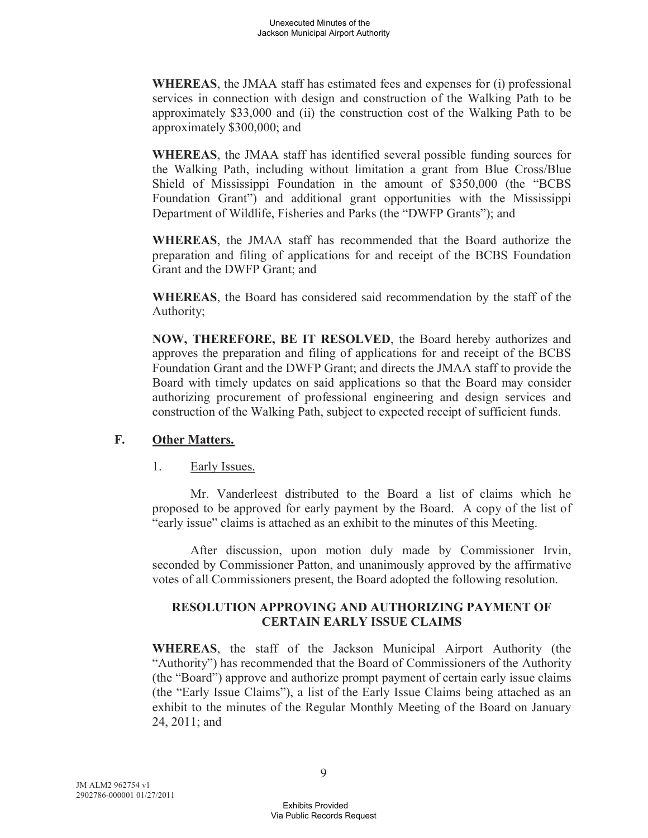**WHEREAS**, the JMAA staff has estimated fees and expenses for (i) professional services in connection with design and construction of the Walking Path to be approximately \$33,000 and (ii) the construction cost of the Walking Path to be approximately \$300,000; and

**WHEREAS**, the JMAA staff has identified several possible funding sources for the Walking Path, including without limitation a grant from Blue Cross/Blue Shield of Mississippi Foundation in the amount of \$350,000 (the "BCBS Foundation Grant") and additional grant opportunities with the Mississippi Department of Wildlife, Fisheries and Parks (the "DWFP Grants"); and

**WHEREAS**, the JMAA staff has recommended that the Board authorize the preparation and filing of applications for and receipt of the BCBS Foundation Grant and the DWFP Grant; and

**WHEREAS**, the Board has considered said recommendation by the staff of the Authority;

**NOW, THEREFORE, BE IT RESOLVED**, the Board hereby authorizes and approves the preparation and filing of applications for and receipt of the BCBS Foundation Grant and the DWFP Grant; and directs the JMAA staff to provide the Board with timely updates on said applications so that the Board may consider authorizing procurement of professional engineering and design services and construction of the Walking Path, subject to expected receipt of sufficient funds.

## **F. Other Matters.**

### 1. Early Issues.

Mr. Vanderleest distributed to the Board a list of claims which he proposed to be approved for early payment by the Board. A copy of the list of "early issue" claims is attached as an exhibit to the minutes of this Meeting.

After discussion, upon motion duly made by Commissioner Irvin, seconded by Commissioner Patton, and unanimously approved by the affirmative votes of all Commissioners present, the Board adopted the following resolution.

### **RESOLUTION APPROVING AND AUTHORIZING PAYMENT OF CERTAIN EARLY ISSUE CLAIMS**

**WHEREAS**, the staff of the Jackson Municipal Airport Authority (the "Authority") has recommended that the Board of Commissioners of the Authority (the "Board") approve and authorize prompt payment of certain early issue claims (the "Early Issue Claims"), a list of the Early Issue Claims being attached as an exhibit to the minutes of the Regular Monthly Meeting of the Board on January 24, 2011; and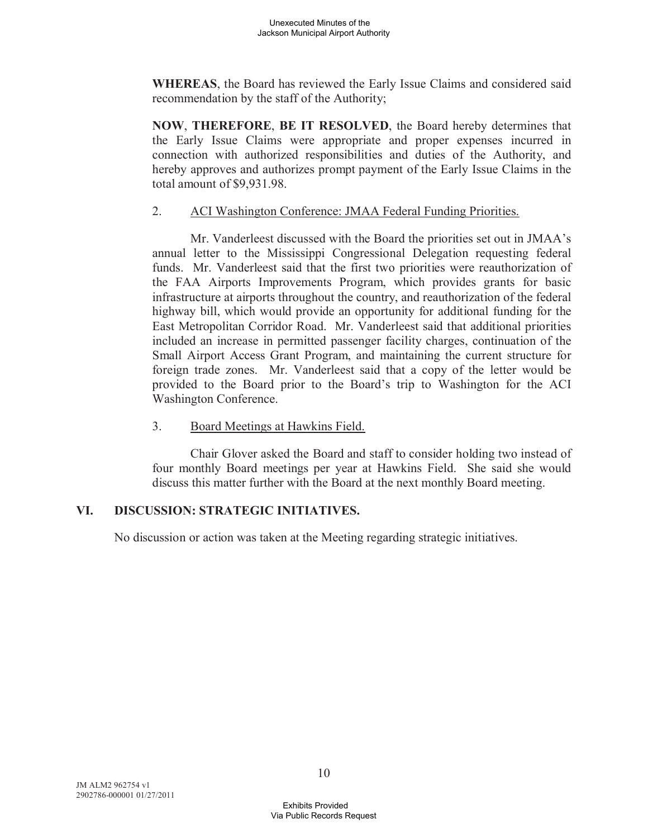**WHEREAS**, the Board has reviewed the Early Issue Claims and considered said recommendation by the staff of the Authority;

**NOW**, **THEREFORE**, **BE IT RESOLVED**, the Board hereby determines that the Early Issue Claims were appropriate and proper expenses incurred in connection with authorized responsibilities and duties of the Authority, and hereby approves and authorizes prompt payment of the Early Issue Claims in the total amount of \$9,931.98.

### 2. ACI Washington Conference: JMAA Federal Funding Priorities.

Mr. Vanderleest discussed with the Board the priorities set out in JMAA's annual letter to the Mississippi Congressional Delegation requesting federal funds. Mr. Vanderleest said that the first two priorities were reauthorization of the FAA Airports Improvements Program, which provides grants for basic infrastructure at airports throughout the country, and reauthorization of the federal highway bill, which would provide an opportunity for additional funding for the East Metropolitan Corridor Road. Mr. Vanderleest said that additional priorities included an increase in permitted passenger facility charges, continuation of the Small Airport Access Grant Program, and maintaining the current structure for foreign trade zones. Mr. Vanderleest said that a copy of the letter would be provided to the Board prior to the Board's trip to Washington for the ACI Washington Conference.

## 3. Board Meetings at Hawkins Field.

Chair Glover asked the Board and staff to consider holding two instead of four monthly Board meetings per year at Hawkins Field. She said she would discuss this matter further with the Board at the next monthly Board meeting.

## **VI. DISCUSSION: STRATEGIC INITIATIVES.**

No discussion or action was taken at the Meeting regarding strategic initiatives.